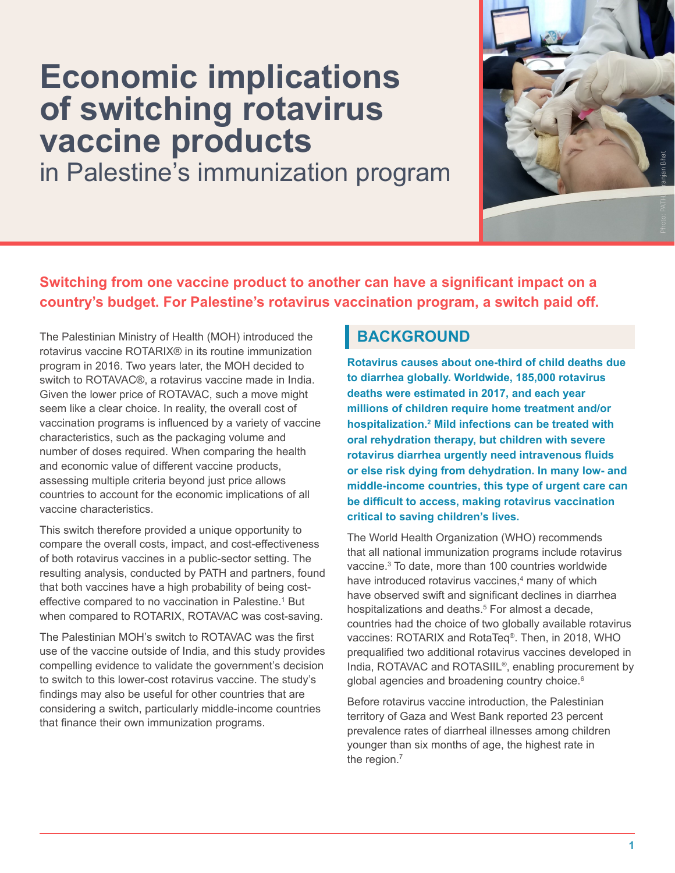# <span id="page-0-0"></span>**Economic implications of switching rotavirus vaccine products**

in Palestine's immunization program



## **Switching from one vaccine product to another can have a significant impact on a country's budget. For Palestine's rotavirus vaccination program, a switch paid off.**

The Palestinian Ministry of Health (MOH) introduced the rotavirus vaccine ROTARIX® in its routine immunization program in 2016. Two years later, the MOH decided to switch to ROTAVAC®, a rotavirus vaccine made in India. Given the lower price of ROTAVAC, such a move might seem like a clear choice. In reality, the overall cost of vaccination programs is influenced by a variety of vaccine characteristics, such as the packaging volume and number of doses required. When comparing the health and economic value of different vaccine products, assessing multiple criteria beyond just price allows countries to account for the economic implications of all vaccine characteristics.

This switch therefore provided a unique opportunity to compare the overall costs, impact, and cost-effectiveness of both rotavirus vaccines in a public-sector setting. The resulting analysis, conducted by PATH and partners, found that both vaccines have a high probability of being costeffective compared to no vaccination in Palestine.<sup>1</sup> But when compared to ROTARIX, ROTAVAC was cost-saving.

The Palestinian MOH's switch to ROTAVAC was the first use of the vaccine outside of India, and this study provides compelling evidence to validate the government's decision to switch to this lower-cost rotavirus vaccine. The study's findings may also be useful for other countries that are considering a switch, particularly middle-income countries that finance their own immunization programs.

## **BACKGROUND**

**Rotavirus causes about one-third of child deaths due to diarrhea globally. Worldwide, 185,000 rotavirus deaths were estimated in 2017, and each year millions of children require home treatment and/or hospitalization.[2](#page-3-0) Mild infections can be treated with oral rehydration therapy, but children with severe rotavirus diarrhea urgently need intravenous fluids or else risk dying from dehydration. In many low- and middle-income countries, this type of urgent care can be difficult to access, making rotavirus vaccination critical to saving children's lives.** 

The World Health Organization (WHO) recommends that all national immunization programs include rotavirus vaccine.[3](#page-3-0) To date, more than 100 countries worldwide have introduced rotavirus vaccines,<sup>[4](#page-3-0)</sup> many of which have observed swift and significant declines in diarrhea hospitalizations and deaths.<sup>5</sup> For almost a decade, countries had the choice of two globally available rotavirus vaccines: ROTARIX and RotaTeq®. Then, in 2018, WHO prequalified two additional rotavirus vaccines developed in India, ROTAVAC and ROTASIIL®, enabling procurement by global agencies and broadening country choice.<sup>[6](#page-3-0)</sup>

Before rotavirus vaccine introduction, the Palestinian territory of Gaza and West Bank reported 23 percent prevalence rates of diarrheal illnesses among children younger than six months of age, the highest rate in the region.<sup>7</sup>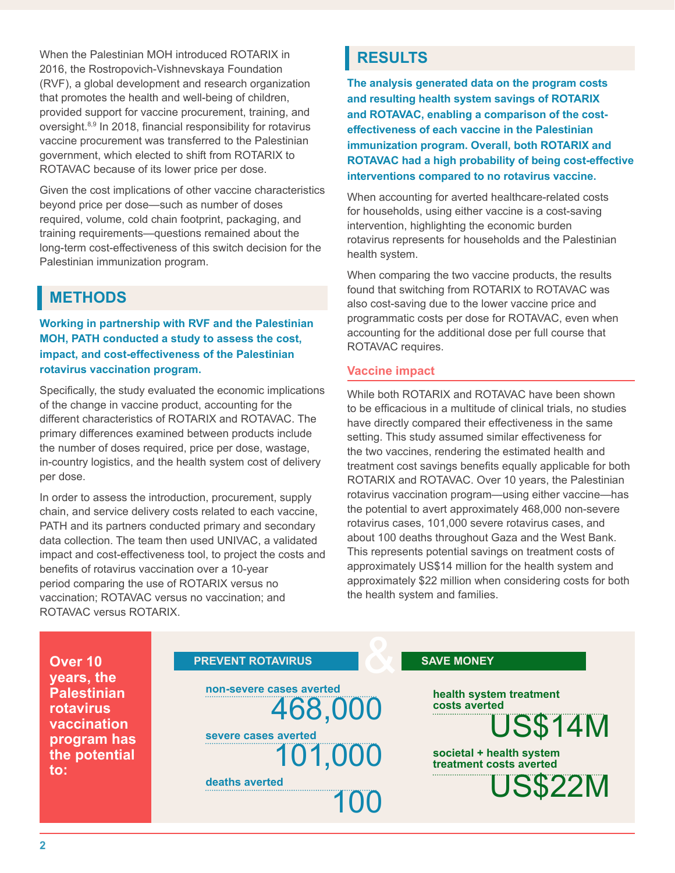<span id="page-1-0"></span>When the Palestinian MOH introduced ROTARIX in 2016, the Rostropovich-Vishnevskaya Foundation (RVF), a global development and research organization that promotes the health and well-being of children, provided support for vaccine procurement, training, and oversight[.8,9](#page-3-0) In 2018, financial responsibility for rotavirus vaccine procurement was transferred to the Palestinian government, which elected to shift from ROTARIX to ROTAVAC because of its lower price per dose.

Given the cost implications of other vaccine characteristics beyond price per dose—such as number of doses required, volume, cold chain footprint, packaging, and training requirements—questions remained about the long-term cost-effectiveness of this switch decision for the Palestinian immunization program.

## **METHODS**

**Working in partnership with RVF and the Palestinian MOH, PATH conducted a study to assess the cost, impact, and cost-effectiveness of the Palestinian rotavirus vaccination program.** 

Specifically, the study evaluated the economic implications of the change in vaccine product, accounting for the different characteristics of ROTARIX and ROTAVAC. The primary differences examined between products include the number of doses required, price per dose, wastage, in-country logistics, and the health system cost of delivery per dose.

In order to assess the introduction, procurement, supply chain, and service delivery costs related to each vaccine, PATH and its partners conducted primary and secondary data collection. The team then used UNIVAC, a validated impact and cost-effectiveness tool, to project the costs and benefits of rotavirus vaccination over a 10-year period comparing the use of ROTARIX versus no vaccination; ROTAVAC versus no vaccination; and ROTAVAC versus ROTARIX.

## **RESULTS**

**The analysis generated data on the program costs and resulting health system savings of ROTARIX and ROTAVAC, enabling a comparison of the costeffectiveness of each vaccine in the Palestinian immunization program. Overall, both ROTARIX and ROTAVAC had a high probability of being cost-effective interventions compared to no rotavirus vaccine.** 

When accounting for averted healthcare-related costs for households, using either vaccine is a cost-saving intervention, highlighting the economic burden rotavirus represents for households and the Palestinian health system.

When comparing the two vaccine products, the results found that switching from ROTARIX to ROTAVAC was also cost-saving due to the lower vaccine price and programmatic costs per dose for ROTAVAC, even when accounting for the additional dose per full course that ROTAVAC requires.

#### **Vaccine impact**

While both ROTARIX and ROTAVAC have been shown to be efficacious in a multitude of clinical trials, no studies have directly compared their effectiveness in the same setting. This study assumed similar effectiveness for the two vaccines, rendering the estimated health and treatment cost savings benefits equally applicable for both ROTARIX and ROTAVAC. Over 10 years, the Palestinian rotavirus vaccination program—using either vaccine—has the potential to avert approximately 468,000 non-severe rotavirus cases, 101,000 severe rotavirus cases, and about 100 deaths throughout Gaza and the West Bank. This represents potential savings on treatment costs of approximately US\$14 million for the health system and approximately \$22 million when considering costs for both the health system and families.

| <b>PREVENT ROTAVIRUS</b>                                                                 | <b>SAVE MONEY</b>                                                                                                            |
|------------------------------------------------------------------------------------------|------------------------------------------------------------------------------------------------------------------------------|
| non-severe cases averted<br>468,000<br>severe cases averted<br>101,000<br>deaths averted | health system treatment<br>costs averted<br><b>US\$14M</b><br>societal + health system<br>treatment costs averted<br>US\$22M |
|                                                                                          |                                                                                                                              |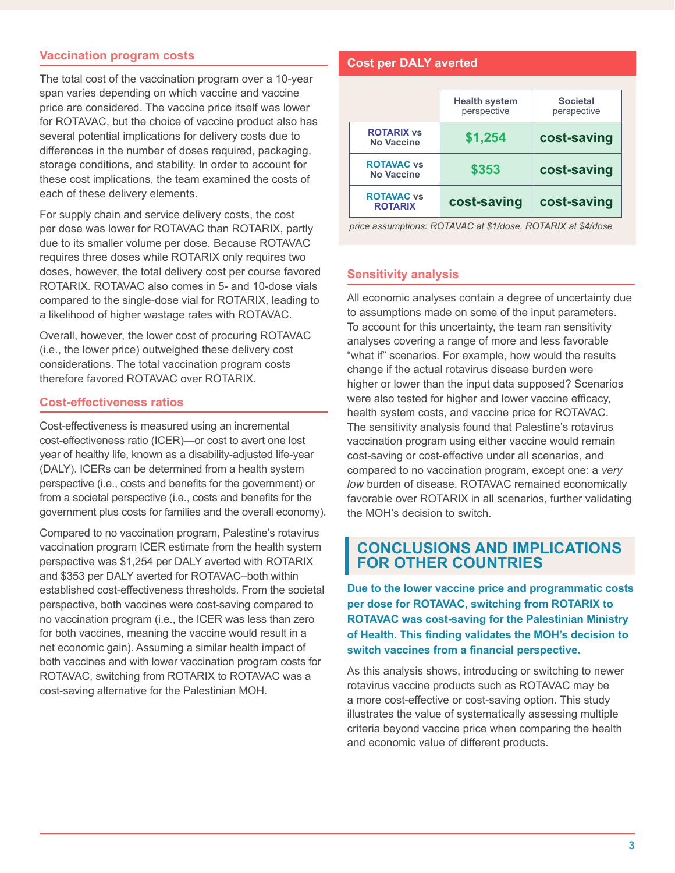#### **Vaccination program costs**

The total cost of the vaccination program over a 10-year span varies depending on which vaccine and vaccine price are considered. The vaccine price itself was lower for ROTAVAC, but the choice of vaccine product also has several potential implications for delivery costs due to differences in the number of doses required, packaging, storage conditions, and stability. In order to account for these cost implications, the team examined the costs of each of these delivery elements.

For supply chain and service delivery costs, the cost per dose was lower for ROTAVAC than ROTARIX, partly due to its smaller volume per dose. Because ROTAVAC requires three doses while ROTARIX only requires two doses, however, the total delivery cost per course favored ROTARIX. ROTAVAC also comes in 5- and 10-dose vials compared to the single-dose vial for ROTARIX, leading to a likelihood of higher wastage rates with ROTAVAC.

Overall, however, the lower cost of procuring ROTAVAC (i.e., the lower price) outweighed these delivery cost considerations. The total vaccination program costs therefore favored ROTAVAC over ROTARIX.

#### **Cost-effectiveness ratios**

Cost-effectiveness is measured using an incremental cost-effectiveness ratio (ICER)—or cost to avert one lost year of healthy life, known as a disability-adjusted life-year (DALY). ICERs can be determined from a health system perspective (i.e., costs and benefits for the government) or from a societal perspective (i.e., costs and benefits for the government plus costs for families and the overall economy).

Compared to no vaccination program, Palestine's rotavirus vaccination program ICER estimate from the health system perspective was \$1,254 per DALY averted with ROTARIX and \$353 per DALY averted for ROTAVAC–both within established cost-effectiveness thresholds. From the societal perspective, both vaccines were cost-saving compared to no vaccination program (i.e., the ICER was less than zero for both vaccines, meaning the vaccine would result in a net economic gain). Assuming a similar health impact of both vaccines and with lower vaccination program costs for ROTAVAC, switching from ROTARIX to ROTAVAC was a cost-saving alternative for the Palestinian MOH.

#### **Cost per DALY averted**

|                                        | <b>Health system</b><br>perspective | <b>Societal</b><br>perspective |
|----------------------------------------|-------------------------------------|--------------------------------|
| <b>ROTARIX vs</b><br><b>No Vaccine</b> | \$1,254                             | cost-saving                    |
| <b>ROTAVAC vs</b><br><b>No Vaccine</b> | \$353                               | cost-saving                    |
| <b>ROTAVAC vs</b><br><b>ROTARIX</b>    | cost-saving                         | cost-saving                    |

*price assumptions: ROTAVAC at \$1/dose, ROTARIX at \$4/dose*

#### **Sensitivity analysis**

All economic analyses contain a degree of uncertainty due to assumptions made on some of the input parameters. To account for this uncertainty, the team ran sensitivity analyses covering a range of more and less favorable "what if" scenarios. For example, how would the results change if the actual rotavirus disease burden were higher or lower than the input data supposed? Scenarios were also tested for higher and lower vaccine efficacy, health system costs, and vaccine price for ROTAVAC. The sensitivity analysis found that Palestine's rotavirus vaccination program using either vaccine would remain cost-saving or cost-effective under all scenarios, and compared to no vaccination program, except one: a *very low* burden of disease. ROTAVAC remained economically favorable over ROTARIX in all scenarios, further validating the MOH's decision to switch.

#### **CONCLUSIONS AND IMPLICATIONS FOR OTHER COUNTRIES**

**Due to the lower vaccine price and programmatic costs per dose for ROTAVAC, switching from ROTARIX to ROTAVAC was cost-saving for the Palestinian Ministry of Health. This finding validates the MOH's decision to switch vaccines from a financial perspective.**

As this analysis shows, introducing or switching to newer rotavirus vaccine products such as ROTAVAC may be a more cost-effective or cost-saving option. This study illustrates the value of systematically assessing multiple criteria beyond vaccine price when comparing the health and economic value of different products.